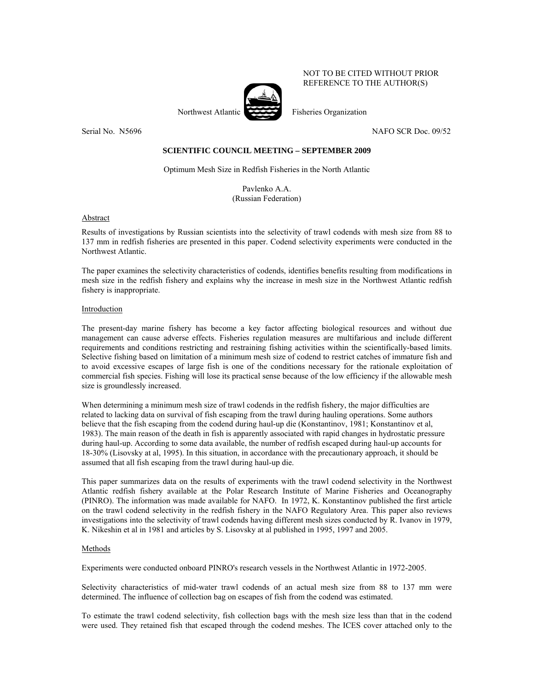NOT TO BE CITED WITHOUT PRIOR REFERENCE TO THE AUTHOR(S)

Northwest Atlantic Fisheries Organization

Serial No. N5696 NAFO SCR Doc. 09/52

# **SCIENTIFIC COUNCIL MEETING – SEPTEMBER 2009**

Optimum Mesh Size in Redfish Fisheries in the North Atlantic

Pavlenko A.A. (Russian Federation)

**Abstract** 

Results of investigations by Russian scientists into the selectivity of trawl codends with mesh size from 88 to 137 mm in redfish fisheries are presented in this paper. Codend selectivity experiments were conducted in the Northwest Atlantic.

The paper examines the selectivity characteristics of codends, identifies benefits resulting from modifications in mesh size in the redfish fishery and explains why the increase in mesh size in the Northwest Atlantic redfish fishery is inappropriate.

## Introduction

The present-day marine fishery has become a key factor affecting biological resources and without due management can cause adverse effects. Fisheries regulation measures are multifarious and include different requirements and conditions restricting and restraining fishing activities within the scientifically-based limits. Selective fishing based on limitation of a minimum mesh size of codend to restrict catches of immature fish and to avoid excessive escapes of large fish is one of the conditions necessary for the rationale exploitation of commercial fish species. Fishing will lose its practical sense because of the low efficiency if the allowable mesh size is groundlessly increased.

When determining a minimum mesh size of trawl codends in the redfish fishery, the major difficulties are related to lacking data on survival of fish escaping from the trawl during hauling operations. Some authors believe that the fish escaping from the codend during haul-up die (Konstantinov, 1981; Konstantinov et al, 1983). The main reason of the death in fish is apparently associated with rapid changes in hydrostatic pressure during haul-up. According to some data available, the number of redfish escaped during haul-up accounts for 18-30% (Lisovsky at al, 1995). In this situation, in accordance with the precautionary approach, it should be assumed that all fish escaping from the trawl during haul-up die.

This paper summarizes data on the results of experiments with the trawl codend selectivity in the Northwest Atlantic redfish fishery available at the Polar Research Institute of Marine Fisheries and Oceanography (PINRO). The information was made available for NAFO. In 1972, K. Konstantinov published the first article on the trawl codend selectivity in the redfish fishery in the NAFO Regulatory Area. This paper also reviews investigations into the selectivity of trawl codends having different mesh sizes conducted by R. Ivanov in 1979, K. Nikeshin et al in 1981 and articles by S. Lisovsky at al published in 1995, 1997 and 2005.

### Methods

Experiments were conducted onboard PINRO's research vessels in the Northwest Atlantic in 1972-2005.

Selectivity characteristics of mid-water trawl codends of an actual mesh size from 88 to 137 mm were determined. The influence of collection bag on escapes of fish from the codend was estimated.

To estimate the trawl codend selectivity, fish collection bags with the mesh size less than that in the codend were used. They retained fish that escaped through the codend meshes. The ICES cover attached only to the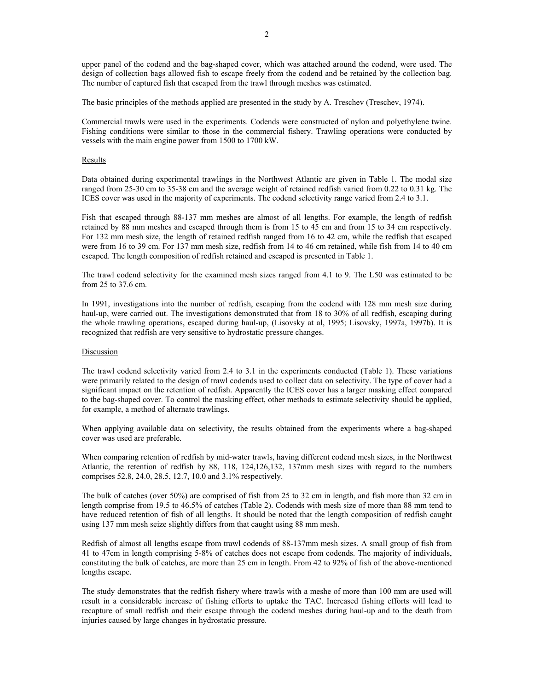upper panel of the codend and the bag-shaped cover, which was attached around the codend, were used. The design of collection bags allowed fish to escape freely from the codend and be retained by the collection bag. The number of captured fish that escaped from the trawl through meshes was estimated.

The basic principles of the methods applied are presented in the study by A. Treschev (Treschev, 1974).

Commercial trawls were used in the experiments. Codends were constructed of nylon and polyethylene twine. Fishing conditions were similar to those in the commercial fishery. Trawling operations were conducted by vessels with the main engine power from 1500 to 1700 kW.

## Results

Data obtained during experimental trawlings in the Northwest Atlantic are given in Table 1. The modal size ranged from 25-30 cm to 35-38 cm and the average weight of retained redfish varied from 0.22 to 0.31 kg. The ICES cover was used in the majority of experiments. The codend selectivity range varied from 2.4 to 3.1.

Fish that escaped through 88-137 mm meshes are almost of all lengths. For example, the length of redfish retained by 88 mm meshes and escaped through them is from 15 to 45 cm and from 15 to 34 cm respectively. For 132 mm mesh size, the length of retained redfish ranged from 16 to 42 cm, while the redfish that escaped were from 16 to 39 cm. For 137 mm mesh size, redfish from 14 to 46 cm retained, while fish from 14 to 40 cm escaped. The length composition of redfish retained and escaped is presented in Table 1.

The trawl codend selectivity for the examined mesh sizes ranged from 4.1 to 9. The L50 was estimated to be from 25 to 37.6 cm.

In 1991, investigations into the number of redfish, escaping from the codend with 128 mm mesh size during haul-up, were carried out. The investigations demonstrated that from 18 to 30% of all redfish, escaping during the whole trawling operations, escaped during haul-up, (Lisovsky at al, 1995; Lisovsky, 1997a, 1997b). It is recognized that redfish are very sensitive to hydrostatic pressure changes.

### Discussion

The trawl codend selectivity varied from 2.4 to 3.1 in the experiments conducted (Table 1). These variations were primarily related to the design of trawl codends used to collect data on selectivity. The type of cover had a significant impact on the retention of redfish. Apparently the ICES cover has a larger masking effect compared to the bag-shaped cover. To control the masking effect, other methods to estimate selectivity should be applied, for example, a method of alternate trawlings.

When applying available data on selectivity, the results obtained from the experiments where a bag-shaped cover was used are preferable.

When comparing retention of redfish by mid-water trawls, having different codend mesh sizes, in the Northwest Atlantic, the retention of redfish by 88, 118, 124,126,132, 137mm mesh sizes with regard to the numbers comprises 52.8, 24.0, 28.5, 12.7, 10.0 and 3.1% respectively.

The bulk of catches (over 50%) are comprised of fish from 25 to 32 cm in length, and fish more than 32 cm in length comprise from 19.5 to 46.5% of catches (Table 2). Codends with mesh size of more than 88 mm tend to have reduced retention of fish of all lengths. It should be noted that the length composition of redfish caught using 137 mm mesh seize slightly differs from that caught using 88 mm mesh.

Redfish of almost all lengths escape from trawl codends of 88-137mm mesh sizes. A small group of fish from 41 to 47cm in length comprising 5-8% of catches does not escape from codends. The majority of individuals, constituting the bulk of catches, are more than 25 cm in length. From 42 to 92% of fish of the above-mentioned lengths escape.

The study demonstrates that the redfish fishery where trawls with a meshe of more than 100 mm are used will result in a considerable increase of fishing efforts to uptake the TAC. Increased fishing efforts will lead to recapture of small redfish and their escape through the codend meshes during haul-up and to the death from injuries caused by large changes in hydrostatic pressure.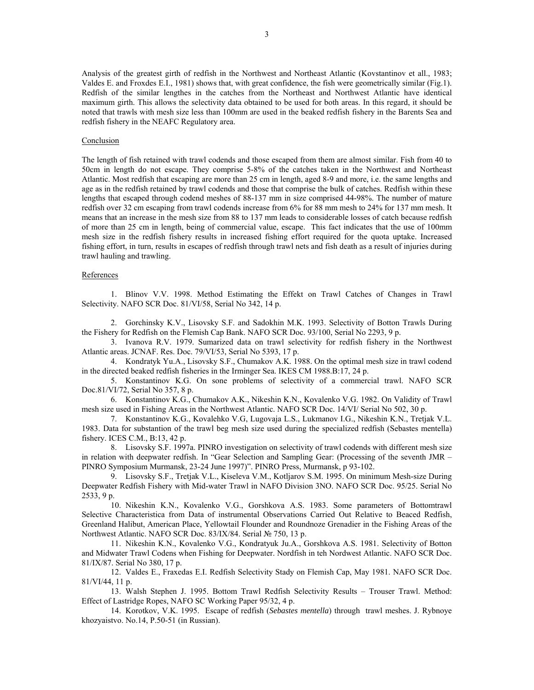Analysis of the greatest girth of redfish in the Northwest and Northeast Atlantic (Kovstantinov et all., 1983; Valdes E. and Froxdes E.I., 1981) shows that, with great confidence, the fish were geometrically similar (Fig.1). Redfish of the similar lengthes in the catches from the Northeast and Northwest Atlantic have identical maximum girth. This allows the selectivity data obtained to be used for both areas. In this regard, it should be noted that trawls with mesh size less than 100mm are used in the beaked redfish fishery in the Barents Sea and redfish fishery in the NEAFC Regulatory area.

## **Conclusion**

The length of fish retained with trawl codends and those escaped from them are almost similar. Fish from 40 to 50cm in length do not escape. They comprise 5-8% of the catches taken in the Northwest and Northeast Atlantic. Most redfish that escaping are more than 25 cm in length, aged 8-9 and more, i.e. the same lengths and age as in the redfish retained by trawl codends and those that comprise the bulk of catches. Redfish within these lengths that escaped through codend meshes of 88-137 mm in size comprised 44-98%. The number of mature redfish over 32 cm escaping from trawl codends increase from 6% for 88 mm mesh to 24% for 137 mm mesh. It means that an increase in the mesh size from 88 to 137 mm leads to considerable losses of catch because redfish of more than 25 cm in length, being of commercial value, escape. This fact indicates that the use of 100mm mesh size in the redfish fishery results in increased fishing effort required for the quota uptake. Increased fishing effort, in turn, results in escapes of redfish through trawl nets and fish death as a result of injuries during trawl hauling and trawling.

# References

1. Blinov V.V. 1998. Method Estimating the Effekt on Trawl Catches of Changes in Trawl Selectivity. NAFO SCR Doc. 81/VI/58, Serial No 342, 14 p.

2. Gorchinsky K.V., Lisovsky S.F. and Sadokhin M.K. 1993. Selectivity of Botton Trawls During the Fishery for Redfish on the Flemish Cap Bank. NAFO SCR Doc. 93/100, Serial No 2293, 9 p.

3. Ivanova R.V. 1979. Sumarized data on trawl selectivity for redfish fishery in the Northwest Atlantic areas. JCNAF. Res. Doc. 79/VI/53, Serial No 5393, 17 p.

4. Kondratyk Yu.A., Lisovsky S.F., Chumakov A.K. 1988. On the optimal mesh size in trawl codend in the directed beaked redfish fisheries in the Irminger Sea. IKES CM 1988.B:17, 24 p.

5. Konstantinov K.G. On sone problems of selectivity of a commercial trawl. NAFO SCR Doc.81/VI/72, Serial No 357, 8 p.

6. Konstantinov K.G., Chumakov A.K., Nikeshin K.N., Kovalenko V.G. 1982. On Validity of Trawl mesh size used in Fishing Areas in the Northwest Atlantic. NAFO SCR Doc. 14/VI/ Serial No 502, 30 p.

7. Konstantinov K.G., Kovalehko V.G, Lugovaja L.S., Lukmanov I.G., Nikeshin K.N., Tretjak V.L. 1983. Data for substantion of the trawl beg mesh size used during the specialized redfish (Sebastes mentella) fishery. ICES C.M., B:13, 42 p.

8. Lisovsky S.F. 1997а. PINRO investigation on selectivity of trawl codends with different mesh size in relation with deepwater redfish. In "Gear Selection and Sampling Gear: (Processing of the seventh JMR – PINRO Symposium Murmansk, 23-24 June 1997)". PINRO Press, Murmansk, p 93-102.

9. Lisovsky S.F., Tretjak V.L., Kiseleva V.M., Kotljarov S.M. 1995. On minimum Mesh-size During Deepwater Redfish Fishery with Mid-water Trawl in NAFO Division 3NO. NAFO SCR Doc. 95/25. Serial No 2533, 9 p.

10. Nikeshin K.N., Kovalenko V.G., Gorshkova A.S. 1983. Some parameters of Bottomtrawl Selective Characteristica from Data of instrumental Observations Carried Out Relative to Beaced Redfish, Greenland Halibut, American Place, Yellowtail Flounder and Roundnoze Grenadier in the Fishing Areas of the Northwest Atlantic. NAFO SCR Doc. 83/IX/84. Serial № 750, 13 p.

11. Nikeshin K.N., Kovalenko V.G., Kondratyuk Ju.A., Gorshkova A.S. 1981. Selectivity of Botton and Midwater Trawl Codens when Fishing for Deepwater. Nordfish in teh Nordwest Atlantic. NAFO SCR Doc. 81/IX/87. Serial No 380, 17 p.

12. Valdes E., Fraxedas E.I. Redfish Selectivity Stady on Flemish Cap, May 1981. NAFO SCR Doc. 81/VI/44, 11 p.

13. Walsh Stephen J. 1995. Bottom Trawl Redfish Selectivity Results – Trouser Trawl. Method: Effect of Lastridge Ropes, NAFO SC Working Paper 95/32, 4 p.

14. Korotkov, V.K. 1995. Escape of redfish (*Sebastes mentella*) through trawl meshes. J. Rybnoye khozyaistvo. No.14, P.50-51 (in Russian).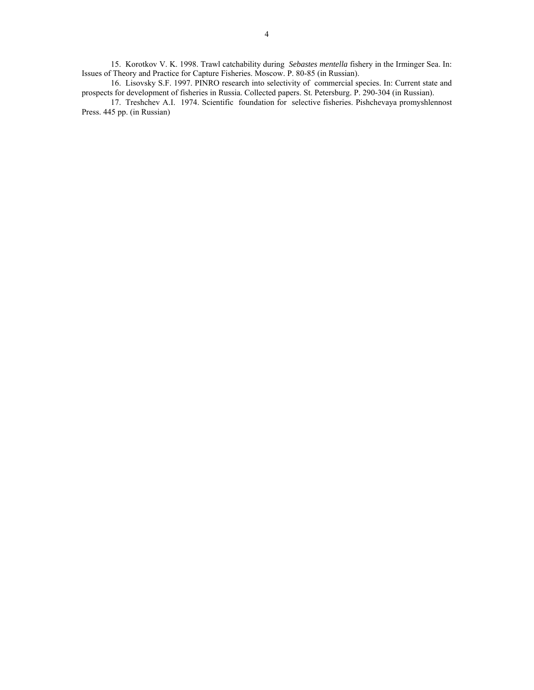15. Korotkov V. K. 1998. Trawl catchability during *Sebastes mentella* fishery in the Irminger Sea. In: Issues of Theory and Practice for Capture Fisheries. Moscow. P. 80-85 (in Russian).

16. Lisovsky S.F. 1997. PINRO research into selectivity of commercial species. In: Current state and prospects for development of fisheries in Russia. Collected papers. St. Petersburg. P. 290-304 (in Russian).

17. Treshchev A.I. 1974. Scientific foundation for selective fisheries. Pishchevaya promyshlennost Press. 445 pp. (in Russian)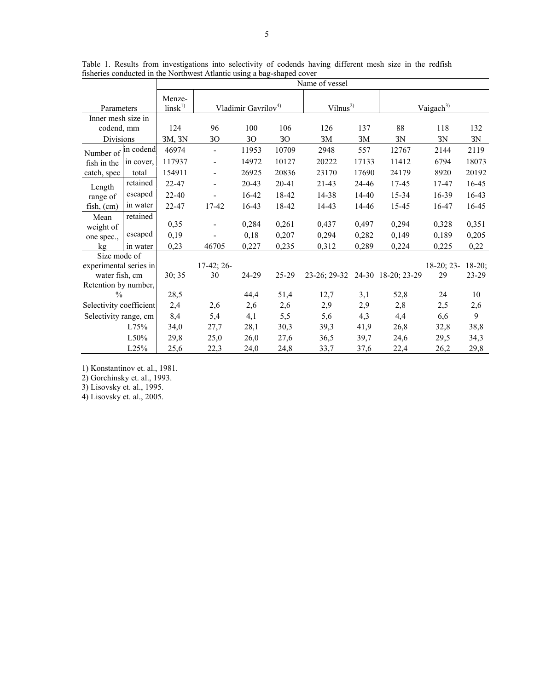|                                         |           | Name of vessel               |                                 |           |           |                                 |       |                       |              |          |  |
|-----------------------------------------|-----------|------------------------------|---------------------------------|-----------|-----------|---------------------------------|-------|-----------------------|--------------|----------|--|
| Parameters                              |           | Menze-<br>$\text{links}^{1}$ | Vladimir Gavrilov <sup>4)</sup> |           |           | Vilnus <sup>2</sup>             |       | Vaigach <sup>3)</sup> |              |          |  |
| Inner mesh size in                      |           |                              |                                 |           |           |                                 |       |                       |              |          |  |
| codend, mm                              |           | 124                          | 96                              | 100       | 106       | 126                             | 137   | 88                    | 118          | 132      |  |
| <b>Divisions</b>                        |           | 3M, 3N                       | 30 <sup>°</sup>                 | 30        | 30        | 3M                              | 3M    | 3N                    | 3N           | 3N       |  |
| Number of<br>fish in the<br>catch, spec | in codend | 46974                        | $\overline{\phantom{a}}$        | 11953     | 10709     | 2948                            | 557   | 12767                 | 2144         | 2119     |  |
|                                         | in cover, | 117937                       | $\overline{\phantom{a}}$        | 14972     | 10127     | 20222                           | 17133 | 11412                 | 6794         | 18073    |  |
|                                         | total     | 154911                       | $\overline{\phantom{a}}$        | 26925     | 20836     | 23170                           | 17690 | 24179                 | 8920         | 20192    |  |
| Length<br>range of<br>fish, (cm)        | retained  | 22-47                        | $\overline{\phantom{a}}$        | $20 - 43$ | 20-41     | $21 - 43$                       | 24-46 | 17-45                 | 17-47        | 16-45    |  |
|                                         | escaped   | $22 - 40$                    |                                 | 16-42     | 18-42     | 14-38                           | 14-40 | 15-34                 | 16-39        | 16-43    |  |
|                                         | in water  | 22-47                        | 17-42                           | $16-43$   | 18-42     | 14-43                           | 14-46 | 15-45                 | 16-47        | 16-45    |  |
| Mean<br>weight of<br>one spec.,         | retained  |                              |                                 |           |           |                                 |       |                       |              |          |  |
|                                         |           | 0,35                         | $\overline{\phantom{a}}$        | 0,284     | 0,261     | 0,437                           | 0,497 | 0,294                 | 0,328        | 0,351    |  |
|                                         | escaped   | 0,19                         |                                 | 0,18      | 0,207     | 0,294                           | 0,282 | 0,149                 | 0,189        | 0,205    |  |
| kg                                      | in water  | 0,23                         | 46705                           | 0,227     | 0,235     | 0,312                           | 0,289 | 0,224                 | 0,225        | 0,22     |  |
| Size mode of                            |           |                              |                                 |           |           |                                 |       |                       |              |          |  |
| experimental series in                  |           |                              | $17-42; 26-$                    |           |           |                                 |       |                       | $18-20; 23-$ | $18-20;$ |  |
| water fish, cm                          |           | 30; 35                       | 30                              | 24-29     | $25 - 29$ | 23-26; 29-32 24-30 18-20; 23-29 |       |                       | 29           | 23-29    |  |
| Retention by number,                    |           |                              |                                 |           |           |                                 |       |                       |              |          |  |
| $\frac{0}{0}$                           |           | 28,5                         |                                 | 44,4      | 51,4      | 12,7                            | 3,1   | 52,8                  | 24           | 10       |  |
| Selectivity coefficient                 |           | 2,4                          | 2,6                             | 2,6       | 2,6       | 2,9                             | 2,9   | 2,8                   | 2,5          | 2,6      |  |
| Selectivity range, cm                   |           | 8,4                          | 5,4                             | 4,1       | 5,5       | 5,6                             | 4,3   | 4,4                   | 6,6          | 9        |  |
| L75%                                    |           | 34,0                         | 27,7                            | 28,1      | 30,3      | 39,3                            | 41,9  | 26,8                  | 32,8         | 38,8     |  |
|                                         | L50%      | 29,8                         | 25,0                            | 26,0      | 27,6      | 36,5                            | 39,7  | 24,6                  | 29,5         | 34,3     |  |
|                                         | L25%      | 25,6                         | 22,3                            | 24,0      | 24,8      | 33,7                            | 37,6  | 22,4                  | 26,2         | 29,8     |  |

Table 1. Results from investigations into selectivity of codends having different mesh size in the redfish fisheries conducted in the Northwest Atlantic using a bag-shaped cover

1) Konstantinov et. al., 1981.

2) Gorchinsky et. al., 1993.

3) Lisovsky et. al., 1995.

4) Lisovsky et. al., 2005.